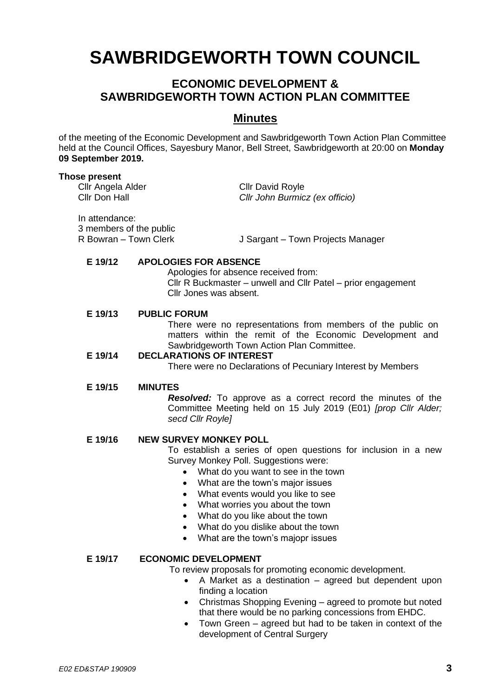# **SAWBRIDGEWORTH TOWN COUNCIL**

# **ECONOMIC DEVELOPMENT & SAWBRIDGEWORTH TOWN ACTION PLAN COMMITTEE**

## **Minutes**

of the meeting of the Economic Development and Sawbridgeworth Town Action Plan Committee held at the Council Offices, Sayesbury Manor, Bell Street, Sawbridgeworth at 20:00 on **Monday 09 September 2019.**

#### **Those present**

Cllr Angela Alder Cllr David Royle

Cllr Don Hall *Cllr John Burmicz (ex officio)*

In attendance: 3 members of the public

R Bowran – Town Clerk J Sargant – Town Projects Manager

#### **E 19/12 APOLOGIES FOR ABSENCE**

Apologies for absence received from: Cllr R Buckmaster – unwell and Cllr Patel – prior engagement Cllr Jones was absent.

#### **E 19/13 PUBLIC FORUM**

There were no representations from members of the public on matters within the remit of the Economic Development and Sawbridgeworth Town Action Plan Committee.

#### **E 19/14 DECLARATIONS OF INTEREST**

There were no Declarations of Pecuniary Interest by Members

#### **E 19/15 MINUTES**

*Resolved:* To approve as a correct record the minutes of the Committee Meeting held on 15 July 2019 (E01) *[prop Cllr Alder; secd Cllr Royle]*

#### **E 19/16 NEW SURVEY MONKEY POLL**

To establish a series of open questions for inclusion in a new Survey Monkey Poll. Suggestions were:

- What do you want to see in the town
- What are the town's major issues
- What events would you like to see
- What worries you about the town
- What do you like about the town
- What do you dislike about the town
- What are the town's majopr issues

### **E 19/17 ECONOMIC DEVELOPMENT**

To review proposals for promoting economic development.

- A Market as a destination agreed but dependent upon finding a location
- Christmas Shopping Evening agreed to promote but noted that there would be no parking concessions from EHDC.
- Town Green agreed but had to be taken in context of the development of Central Surgery